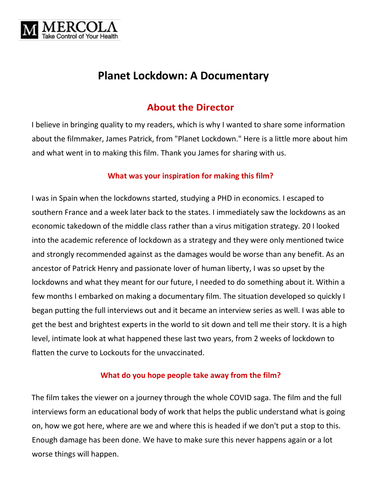

# **Planet Lockdown: A Documentary**

## **About the Director**

I believe in bringing quality to my readers, which is why I wanted to share some information about the filmmaker, James Patrick, from "Planet Lockdown." Here is a little more about him and what went in to making this film. Thank you James for sharing with us.

#### **What was your inspiration for making this film?**

I was in Spain when the lockdowns started, studying a PHD in economics. I escaped to southern France and a week later back to the states. I immediately saw the lockdowns as an economic takedown of the middle class rather than a virus mitigation strategy. 20 I looked into the academic reference of lockdown as a strategy and they were only mentioned twice and strongly recommended against as the damages would be worse than any benefit. As an ancestor of Patrick Henry and passionate lover of human liberty, I was so upset by the lockdowns and what they meant for our future, I needed to do something about it. Within a few months I embarked on making a documentary film. The situation developed so quickly I began putting the full interviews out and it became an interview series as well. I was able to get the best and brightest experts in the world to sit down and tell me their story. It is a high level, intimate look at what happened these last two years, from 2 weeks of lockdown to flatten the curve to Lockouts for the unvaccinated.

### **What do you hope people take away from the film?**

The film takes the viewer on a journey through the whole COVID saga. The film and the full interviews form an educational body of work that helps the public understand what is going on, how we got here, where are we and where this is headed if we don't put a stop to this. Enough damage has been done. We have to make sure this never happens again or a lot worse things will happen.